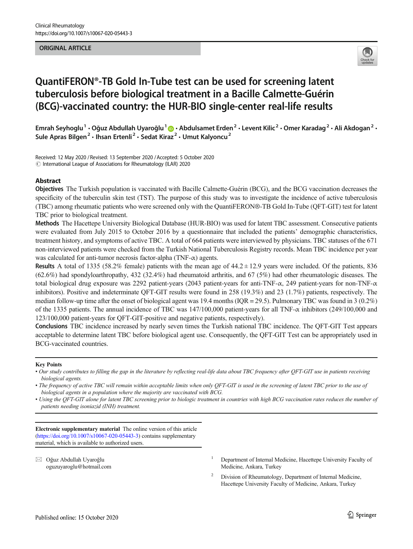## ORIGINAL ARTICLE



# QuantiFERON®-TB Gold In-Tube test can be used for screening latent tuberculosis before biological treatment in a Bacille Calmette-Guérin (BCG)-vaccinated country: the HUR-BIO single-center real-life results

Emrah Seyhoglu<sup>1</sup> • Oğuz Abdullah Uyaroğlu<sup>1</sup>  $\bullet$  • Abdulsamet Erden<sup>2</sup> • Levent Kilic<sup>2</sup> • Omer Karadag<sup>2</sup> • Ali Akdogan<sup>2</sup> • Sule Apras Bilgen<sup>2</sup> · Ihsan Ertenli<sup>2</sup> · Sedat Kiraz<sup>2</sup> · Umut Kalyoncu<sup>2</sup>

Received: 12 May 2020 / Revised: 13 September 2020 /Accepted: 5 October 2020  $\odot$  International League of Associations for Rheumatology (ILAR) 2020

## Abstract

Objectives The Turkish population is vaccinated with Bacille Calmette-Guérin (BCG), and the BCG vaccination decreases the specificity of the tuberculin skin test (TST). The purpose of this study was to investigate the incidence of active tuberculosis (TBC) among rheumatic patients who were screened only with the QuantiFERON®-TB Gold In-Tube (QFT-GIT) test for latent TBC prior to biological treatment.

Methods The Hacettepe University Biological Database (HUR-BIO) was used for latent TBC assessment. Consecutive patients were evaluated from July 2015 to October 2016 by a questionnaire that included the patients' demographic characteristics, treatment history, and symptoms of active TBC. A total of 664 patients were interviewed by physicians. TBC statuses of the 671 non-interviewed patients were checked from the Turkish National Tuberculosis Registry records. Mean TBC incidence per year was calculated for anti-tumor necrosis factor-alpha (TNF- $\alpha$ ) agents.

**Results** A total of 1335 (58.2% female) patients with the mean age of  $44.2 \pm 12.9$  years were included. Of the patients, 836 (62.6%) had spondyloarthropathy, 432 (32.4%) had rheumatoid arthritis, and 67 (5%) had other rheumatologic diseases. The total biological drug exposure was 2292 patient-years (2043 patient-years for anti-TNF-α, 249 patient-years for non-TNF-α inhibitors). Positive and indeterminate QFT-GIT results were found in 258 (19.3%) and 23 (1.7%) patients, respectively. The median follow-up time after the onset of biological agent was 19.4 months (IQR = 29.5). Pulmonary TBC was found in 3 (0.2%) of the 1335 patients. The annual incidence of TBC was 147/100,000 patient-years for all TNF-α inhibitors (249/100,000 and 123/100,000 patient-years for QFT-GIT-positive and negative patients, respectively).

Conclusions TBC incidence increased by nearly seven times the Turkish national TBC incidence. The QFT-GIT Test appears acceptable to determine latent TBC before biological agent use. Consequently, the QFT-GIT Test can be appropriately used in BCG-vaccinated countries.

### Key Points

- Our study contributes to filling the gap in the literature by reflecting real-life data about TBC frequency after QFT-GIT use in patients receiving biological agents.
- The frequency of active TBC will remain within acceptable limits when only QFT-GIT is used in the screening of latent TBC prior to the use of biological agents in a population where the majority are vaccinated with BCG.
- Using the QFT-GIT alone for latent TBC screening prior to biologic treatment in countries with high BCG vaccination rates reduces the number of patients needing isoniazid (INH) treatment.

Electronic supplementary material The online version of this article ([https://doi.org/10.1007/s10067-020-05443-3\)](https://doi.org/10.1007/s10067-020-05443-3) contains supplementary material, which is available to authorized users.

 $\boxtimes$  Oğuz Abdullah Uyaroğlu [oguzuyaroglu@hotmail.com](mailto:oguzuyaroglu@hotmail.com)

- <sup>1</sup> Department of Internal Medicine, Hacettepe University Faculty of Medicine, Ankara, Turkey
- Division of Rheumatology, Department of Internal Medicine, Hacettepe University Faculty of Medicine, Ankara, Turkey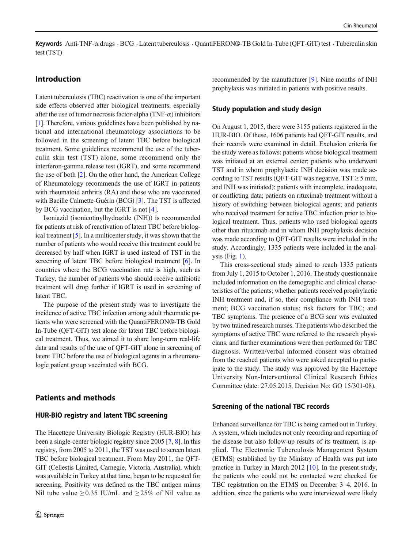Keywords Anti-TNF-αdrugs .BCG . Latent tuberculosis . QuantiFERON®-TB Gold In-Tube (QFT-GIT) test . Tuberculin skin test (TST)

# Introduction

Latent tuberculosis (TBC) reactivation is one of the important side effects observed after biological treatments, especially after the use of tumor necrosis factor-alpha (TNF- $\alpha$ ) inhibitors [\[1](#page-6-0)]. Therefore, various guidelines have been published by national and international rheumatology associations to be followed in the screening of latent TBC before biological treatment. Some guidelines recommend the use of the tuberculin skin test (TST) alone, some recommend only the interferon-gamma release test (IGRT), and some recommend the use of both [\[2\]](#page-6-0). On the other hand, the American College of Rheumatology recommends the use of IGRT in patients with rheumatoid arthritis (RA) and those who are vaccinated with Bacille Calmette-Guérin (BCG) [\[3](#page-6-0)]. The TST is affected by BCG vaccination, but the IGRT is not [\[4\]](#page-7-0).

Isoniazid (isonicotinylhydrazide (INH)) is recommended for patients at risk of reactivation of latent TBC before biological treatment [\[5](#page-7-0)]. In a multicenter study, it was shown that the number of patients who would receive this treatment could be decreased by half when IGRT is used instead of TST in the screening of latent TBC before biological treatment [[6\]](#page-7-0). In countries where the BCG vaccination rate is high, such as Turkey, the number of patients who should receive antibiotic treatment will drop further if IGRT is used in screening of latent TBC.

The purpose of the present study was to investigate the incidence of active TBC infection among adult rheumatic patients who were screened with the QuantiFERON®-TB Gold In-Tube (QFT-GIT) test alone for latent TBC before biological treatment. Thus, we aimed it to share long-term real-life data and results of the use of QFT-GIT alone in screening of latent TBC before the use of biological agents in a rheumatologic patient group vaccinated with BCG.

# Patients and methods

### HUR-BIO registry and latent TBC screening

The Hacettepe University Biologic Registry (HUR-BIO) has been a single-center biologic registry since 2005 [[7](#page-7-0), [8](#page-7-0)]. In this registry, from 2005 to 2011, the TST was used to screen latent TBC before biological treatment. From May 2011, the QFT-GIT (Cellestis Limited, Carnegie, Victoria, Australia), which was available in Turkey at that time, began to be requested for screening. Positivity was defined as the TBC antigen minus Nil tube value  $\geq$  0.35 IU/mL and  $\geq$  25% of Nil value as recommended by the manufacturer [\[9\]](#page-7-0). Nine months of INH prophylaxis was initiated in patients with positive results.

## Study population and study design

On August 1, 2015, there were 3155 patients registered in the HUR-BIO. Of these, 1606 patients had QFT-GIT results, and their records were examined in detail. Exclusion criteria for the study were as follows: patients whose biological treatment was initiated at an external center; patients who underwent TST and in whom prophylactic INH decision was made according to TST results (QFT-GIT was negative,  $TST \ge 5$  mm, and INH was initiated); patients with incomplete, inadequate, or conflicting data; patients on rituximab treatment without a history of switching between biological agents; and patients who received treatment for active TBC infection prior to biological treatment. Thus, patients who used biological agents other than rituximab and in whom INH prophylaxis decision was made according to QFT-GIT results were included in the study. Accordingly, 1335 patients were included in the analysis (Fig. [1\)](#page-2-0).

This cross-sectional study aimed to reach 1335 patients from July 1, 2015 to October 1, 2016. The study questionnaire included information on the demographic and clinical characteristics of the patients; whether patients received prophylactic INH treatment and, if so, their compliance with INH treatment; BCG vaccination status; risk factors for TBC; and TBC symptoms. The presence of a BCG scar was evaluated by two trained research nurses. The patients who described the symptoms of active TBC were referred to the research physicians, and further examinations were then performed for TBC diagnosis. Written/verbal informed consent was obtained from the reached patients who were asked accepted to participate to the study. The study was approved by the Hacettepe University Non-Interventional Clinical Research Ethics Committee (date: 27.05.2015, Decision No: GO 15/301-08).

### Screening of the national TBC records

Enhanced surveillance for TBC is being carried out in Turkey. A system, which includes not only recording and reporting of the disease but also follow-up results of its treatment, is applied. The Electronic Tuberculosis Management System (ETMS) established by the Ministry of Health was put into practice in Turkey in March 2012 [[10](#page-7-0)]. In the present study, the patients who could not be contacted were checked for TBC registration on the ETMS on December 3–4, 2016. In addition, since the patients who were interviewed were likely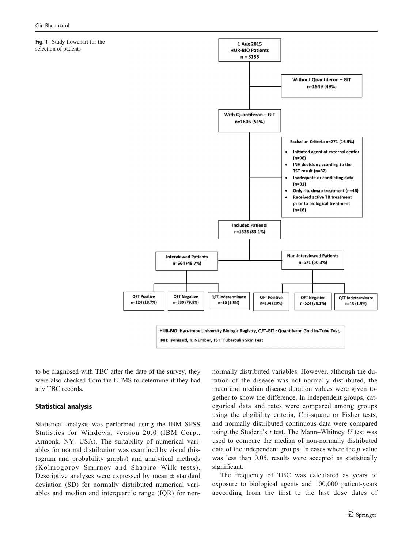#### <span id="page-2-0"></span>Fig. 1 Study flowchart for the selection of patients



to be diagnosed with TBC after the date of the survey, they were also checked from the ETMS to determine if they had any TBC records.

## Statistical analysis

Statistical analysis was performed using the IBM SPSS Statistics for Windows, version 20.0 (IBM Corp., Armonk, NY, USA). The suitability of numerical variables for normal distribution was examined by visual (histogram and probability graphs) and analytical methods (Kolmogorov–Smirnov and Shapiro–Wilk tests). Descriptive analyses were expressed by mean  $\pm$  standard deviation (SD) for normally distributed numerical variables and median and interquartile range (IQR) for nonnormally distributed variables. However, although the duration of the disease was not normally distributed, the mean and median disease duration values were given together to show the difference. In independent groups, categorical data and rates were compared among groups using the eligibility criteria, Chi-square or Fisher tests, and normally distributed continuous data were compared using the Student's  $t$  test. The Mann–Whitney  $U$  test was used to compare the median of non-normally distributed data of the independent groups. In cases where the  $p$  value was less than 0.05, results were accepted as statistically significant.

The frequency of TBC was calculated as years of exposure to biological agents and 100,000 patient-years according from the first to the last dose dates of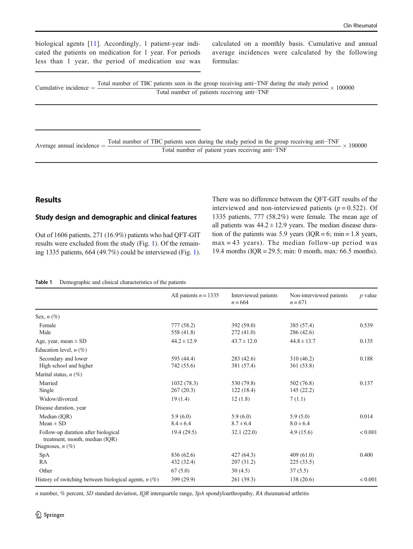<span id="page-3-0"></span>biological agents [[11\]](#page-7-0). Accordingly, 1 patient-year indicated the patients on medication for 1 year. For periods less than 1 year, the period of medication use was calculated on a monthly basis. Cumulative and annual average incidences were calculated by the following formulas:

Cumulative incidence  $=$  Total number of TBC patients seen in the group receiving anti–TNF during the study period Total number of patients receiving anti-TNF  $\times$  100000

Average annual incidence  $=$  Total number of TBC patients seen during the study period in the group receiving anti–TNF Total number of patient years receiving anti-TNF  $\times$  100000

## **Results**

## Study design and demographic and clinical features

Out of 1606 patients, 271 (16.9%) patients who had QFT-GIT results were excluded from the study (Fig. [1\)](#page-2-0). Of the remaining 1335 patients, 664 (49.7%) could be interviewed (Fig. [1\)](#page-2-0).

There was no difference between the QFT-GIT results of the interviewed and non-interviewed patients ( $p = 0.522$ ). Of 1335 patients, 777 (58.2%) were female. The mean age of all patients was  $44.2 \pm 12.9$  years. The median disease duration of the patients was 5.9 years ( $IQR = 6$ ; min = 1.8 years,  $max = 43$  years). The median follow-up period was 19.4 months (IQR = 29.5; min: 0 month, max: 66.5 months).

#### Table 1 Demographic and clinical characteristics of the patients

| All patients $n = 1335$   | Interviewed patients<br>$n = 664$ | Non-interviewed patients<br>$n = 671$ | $p$ value |
|---------------------------|-----------------------------------|---------------------------------------|-----------|
|                           |                                   |                                       |           |
| 777 (58.2)<br>558 (41.8)  | 392 (59.0)<br>272(41.0)           | 385 (57.4)<br>286 (42.6)              | 0.539     |
| $44.2 \pm 12.9$           | $43.7 \pm 12.0$                   | $44.8 \pm 13.7$                       | 0.135     |
|                           |                                   |                                       |           |
| 593 (44.4)<br>742 (55.6)  | 283 (42.6)<br>381 (57.4)          | 310(46.2)<br>361 (53.8)               | 0.188     |
|                           |                                   |                                       |           |
| 1032(78.3)<br>267(20.3)   | 530 (79.8)<br>122 (18.4)          | 502 (76.8)<br>145(22.2)               | 0.137     |
| 19(1.4)                   | 12(1.8)                           | 7(1.1)                                |           |
|                           |                                   |                                       |           |
| 5.9(6.0)<br>$8.4 \pm 6.4$ | 5.9(6.0)<br>$8.7 \pm 6.4$         | 5.9(5.0)<br>$8.0 \pm 6.4$             | 0.014     |
| 19.4(29.5)                | 32.1(22.0)                        | 4.9(15.6)                             | < 0.001   |
| 836 (62.6)<br>432 (32.4)  | 427(64.3)<br>207(31.2)            | 409(61.0)<br>225(33.5)                | 0.400     |
| 67(5.0)                   | 30(4.5)                           | 37(5.5)                               |           |
| 399 (29.9)                | 261 (39.3)                        | 138 (20.6)                            | < 0.001   |
|                           |                                   |                                       |           |

 $n$  number, % percent, SD standard deviation, IQR interquartile range, SpA spondyloarthropathy, RA rheumatoid arthritis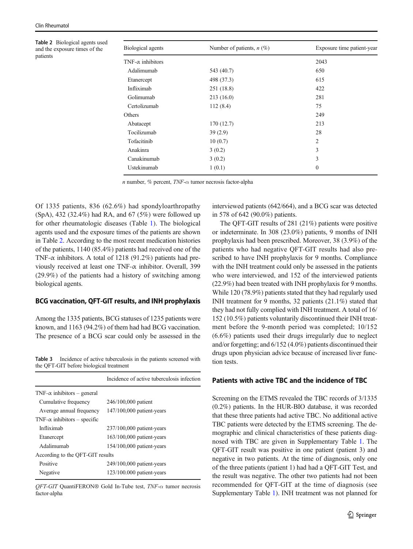<span id="page-4-0"></span>Table 2 Biological agents used and the exposure times of the patients

| <b>Biological agents</b> | Number of patients, $n$ (%) | Exposure time patient-year |
|--------------------------|-----------------------------|----------------------------|
| TNF- $\alpha$ inhibitors |                             | 2043                       |
| Adalimumah               | 543 (40.7)                  | 650                        |
| Etanercept               | 498 (37.3)                  | 615                        |
| Infliximab               | 251 (18.8)                  | 422                        |
| Golimumab                | 213(16.0)                   | 281                        |
| Certolizumab             | 112(8.4)                    | 75                         |
| Others                   |                             | 249                        |
| Abatacept                | 170(12.7)                   | 213                        |
| Tocilizumab              | 39(2.9)                     | 28                         |
| Tofacitinib              | 10(0.7)                     | 2                          |
| Anakinra                 | 3(0.2)                      | 3                          |
| Canakinumab              | 3(0.2)                      | 3                          |
| Ustekinumab              | 1(0.1)                      | $\mathbf{0}$               |
|                          |                             |                            |

 $n$  number, % percent,  $TNF-\alpha$  tumor necrosis factor-alpha

Of 1335 patients, 836 (62.6%) had spondyloarthropathy (SpA), 432 (32.4%) had RA, and 67 (5%) were followed up for other rheumatologic diseases (Table [1](#page-3-0)). The biological agents used and the exposure times of the patients are shown in Table 2. According to the most recent medication histories of the patients, 1140 (85.4%) patients had received one of the TNF- $\alpha$  inhibitors. A total of 1218 (91.2%) patients had previously received at least one TNF- $\alpha$  inhibitor. Overall, 399 (29.9%) of the patients had a history of switching among biological agents.

### BCG vaccination, QFT-GIT results, and INH prophylaxis

Among the 1335 patients, BCG statuses of 1235 patients were known, and 1163 (94.2%) of them had had BCG vaccination. The presence of a BCG scar could only be assessed in the

Table 3 Incidence of active tuberculosis in the patients screened with the QFT-GIT before biological treatment

|                                     | Incidence of active tuberculosis infection |
|-------------------------------------|--------------------------------------------|
| $TNF-\alpha$ inhibitors – general   |                                            |
| Cumulative frequency                | 246/100,000 patient                        |
| Average annual frequency            | $147/100,000$ patient-years                |
| TNF- $\alpha$ inhibitors – specific |                                            |
| Infliximah                          | $237/100,000$ patient-years                |
| Etanercept                          | $163/100,000$ patient-years                |
| Adalimumah                          | 154/100,000 patient-years                  |
| According to the OFT-GIT results    |                                            |
| Positive                            | $249/100,000$ patient-years                |
| Negative                            | $123/100.000$ patient-years                |
|                                     |                                            |

 $QFT-GIT$  QuantiFERON® Gold In-Tube test,  $TNF-\alpha$  tumor necrosis factor-alpha

interviewed patients (642/664), and a BCG scar was detected in 578 of 642 (90.0%) patients.

The QFT-GIT results of 281 (21%) patients were positive or indeterminate. In 308 (23.0%) patients, 9 months of INH prophylaxis had been prescribed. Moreover, 38 (3.9%) of the patients who had negative QFT-GIT results had also prescribed to have INH prophylaxis for 9 months. Compliance with the INH treatment could only be assessed in the patients who were interviewed, and 152 of the interviewed patients (22.9%) had been treated with INH prophylaxis for 9 months. While 120 (78.9%) patients stated that they had regularly used INH treatment for 9 months, 32 patients (21.1%) stated that they had not fully complied with INH treatment. A total of 16/ 152 (10.5%) patients voluntarily discontinued their INH treatment before the 9-month period was completed; 10/152 (6.6%) patients used their drugs irregularly due to neglect and/or forgetting; and 6/152 (4.0%) patients discontinued their drugs upon physician advice because of increased liver function tests.

## Patients with active TBC and the incidence of TBC

Screening on the ETMS revealed the TBC records of 3/1335 (0.2%) patients. In the HUR-BIO database, it was recorded that these three patients had active TBC. No additional active TBC patients were detected by the ETMS screening. The demographic and clinical characteristics of these patients diagnosed with TBC are given in Supplementary Table 1. The QFT-GIT result was positive in one patient (patient 3) and negative in two patients. At the time of diagnosis, only one of the three patients (patient 1) had had a QFT-GIT Test, and the result was negative. The other two patients had not been recommended for QFT-GIT at the time of diagnosis (see Supplementary Table 1). INH treatment was not planned for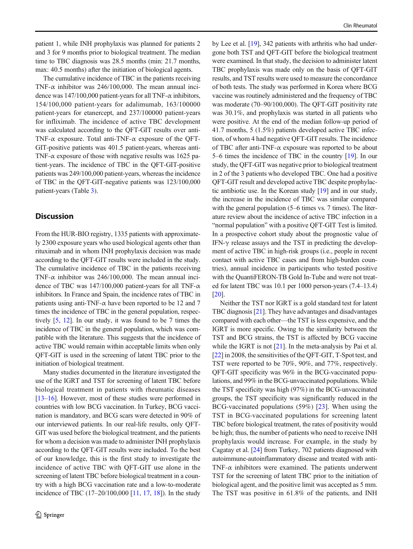patient 1, while INH prophylaxis was planned for patients 2 and 3 for 9 months prior to biological treatment. The median time to TBC diagnosis was 28.5 months (min: 21.7 months, max: 40.5 months) after the initiation of biological agents.

The cumulative incidence of TBC in the patients receiving TNF- $\alpha$  inhibitor was 246/100,000. The mean annual incidence was  $147/100,000$  patient-years for all TNF- $\alpha$  inhibitors, 154/100,000 patient-years for adalimumab, 163/100000 patient-years for etanercept, and 237/100000 patient-years for infliximab. The incidence of active TBC development was calculated according to the QFT-GIT results over anti-TNF- $\alpha$  exposure. Total anti-TNF- $\alpha$  exposure of the QFT-GIT-positive patients was 401.5 patient-years, whereas anti-TNF- $\alpha$  exposure of those with negative results was 1625 patient-years. The incidence of TBC in the QFT-GIT-positive patients was 249/100,000 patient-years, whereas the incidence of TBC in the QFT-GIT-negative patients was 123/100,000 patient-years (Table [3\)](#page-4-0).

# **Discussion**

From the HUR-BIO registry, 1335 patients with approximately 2300 exposure years who used biological agents other than rituximab and in whom INH prophylaxis decision was made according to the QFT-GIT results were included in the study. The cumulative incidence of TBC in the patients receiving TNF- $\alpha$  inhibitor was 246/100,000. The mean annual incidence of TBC was  $147/100,000$  patient-years for all TNF- $\alpha$ inhibitors. In France and Spain, the incidence rates of TBC in patients using anti-TNF- $\alpha$  have been reported to be 12 and 7 times the incidence of TBC in the general population, respectively [[5,](#page-7-0) [12\]](#page-7-0). In our study, it was found to be 7 times the incidence of TBC in the general population, which was compatible with the literature. This suggests that the incidence of active TBC would remain within acceptable limits when only QFT-GIT is used in the screening of latent TBC prior to the initiation of biological treatment.

Many studies documented in the literature investigated the use of the IGRT and TST for screening of latent TBC before biological treatment in patients with rheumatic diseases [\[13](#page-7-0)–[16\]](#page-7-0). However, most of these studies were performed in countries with low BCG vaccination. In Turkey, BCG vaccination is mandatory, and BCG scars were detected in 90% of our interviewed patients. In our real-life results, only QFT-GIT was used before the biological treatment, and the patients for whom a decision was made to administer INH prophylaxis according to the QFT-GIT results were included. To the best of our knowledge, this is the first study to investigate the incidence of active TBC with QFT-GIT use alone in the screening of latent TBC before biological treatment in a country with a high BCG vaccination rate and a low-to-moderate incidence of TBC (17–20/100,000 [\[11](#page-7-0), [17](#page-7-0), [18](#page-7-0)]). In the study by Lee et al. [\[19](#page-7-0)], 342 patients with arthritis who had undergone both TST and QFT-GIT before the biological treatment were examined. In that study, the decision to administer latent TBC prophylaxis was made only on the basis of QFT-GIT results, and TST results were used to measure the concordance of both tests. The study was performed in Korea where BCG vaccine was routinely administered and the frequency of TBC was moderate (70–90/100,000). The QFT-GIT positivity rate was 30.1%, and prophylaxis was started in all patients who were positive. At the end of the median follow-up period of 41.7 months, 5 (1.5%) patients developed active TBC infection, of whom 4 had negative QFT-GIT results. The incidence of TBC after anti-TNF- $\alpha$  exposure was reported to be about 5–6 times the incidence of TBC in the country [[19\]](#page-7-0). In our study, the QFT-GIT was negative prior to biological treatment in 2 of the 3 patients who developed TBC. One had a positive QFT-GIT result and developed active TBC despite prophylactic antibiotic use. In the Korean study [\[19\]](#page-7-0) and in our study, the increase in the incidence of TBC was similar compared with the general population (5–6 times vs. 7 times). The literature review about the incidence of active TBC infection in a "normal population" with a positive QFT-GIT Test is limited. In a prospective cohort study about the prognostic value of IFN- $\gamma$  release assays and the TST in predicting the development of active TBC in high-risk groups (i.e., people in recent contact with active TBC cases and from high-burden countries), annual incidence in participants who tested positive with the QuantiFERON-TB Gold In-Tube and were not treated for latent TBC was 10.1 per 1000 person-years (7.4–13.4) [\[20](#page-7-0)].

Neither the TST nor IGRT is a gold standard test for latent TBC diagnosis [\[21\]](#page-7-0). They have advantages and disadvantages compared with each other—the TST is less expensive, and the IGRT is more specific. Owing to the similarity between the TST and BCG strains, the TST is affected by BCG vaccine while the IGRT is not  $[21]$ . In the meta-analysis by Pai et al. [\[22](#page-7-0)] in 2008, the sensitivities of the QFT-GIT, T-Spot test, and TST were reported to be 70%, 90%, and 77%, respectively. QFT-GIT specificity was 96% in the BCG-vaccinated populations, and 99% in the BCG-unvaccinated populations. While the TST specificity was high (97%) in the BCG-unvaccinated groups, the TST specificity was significantly reduced in the BCG-vaccinated populations (59%) [\[23](#page-7-0)]. When using the TST in BCG-vaccinated populations for screening latent TBC before biological treatment, the rates of positivity would be high; thus, the number of patients who need to receive INH prophylaxis would increase. For example, in the study by Cagatay et al. [\[24\]](#page-7-0) from Turkey, 702 patients diagnosed with autoimmune-autoinflammatory disease and treated with anti-TNF- $\alpha$  inhibitors were examined. The patients underwent TST for the screening of latent TBC prior to the initiation of biological agent, and the positive limit was accepted as 5 mm. The TST was positive in 61.8% of the patients, and INH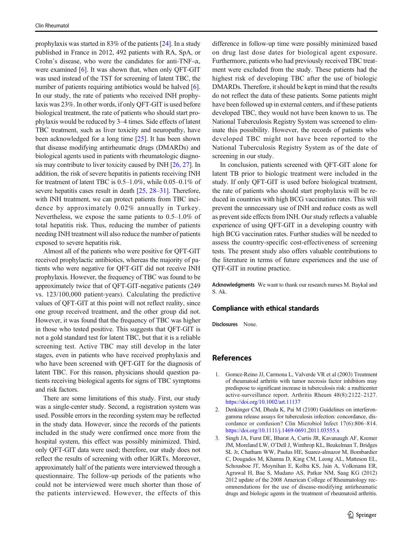<span id="page-6-0"></span>prophylaxis was started in 83% of the patients [[24](#page-7-0)]. In a study published in France in 2012, 492 patients with RA, SpA, or Crohn's disease, who were the candidates for anti-TNF- $\alpha$ , were examined [\[6\]](#page-7-0). It was shown that, when only QFT-GIT was used instead of the TST for screening of latent TBC, the number of patients requiring antibiotics would be halved [[6\]](#page-7-0). In our study, the rate of patients who received INH prophylaxis was 23%. In other words, if only QFT-GIT is used before biological treatment, the rate of patients who should start prophylaxis would be reduced by 3–4 times. Side effects of latent TBC treatment, such as liver toxicity and neuropathy, have been acknowledged for a long time [\[25\]](#page-7-0). It has been shown that disease modifying antirheumatic drugs (DMARDs) and biological agents used in patients with rheumatologic diagnosis may contribute to liver toxicity caused by INH [[26,](#page-7-0) [27](#page-7-0)]. In addition, the risk of severe hepatitis in patients receiving INH for treatment of latent TBC is 0.5–1.0%, while 0.05–0.1% of severe hepatitis cases result in death [\[25,](#page-7-0) [28](#page-8-0)–[31](#page-8-0)]. Therefore, with INH treatment, we can protect patients from TBC incidence by approximately 0.02% annually in Turkey. Nevertheless, we expose the same patients to 0.5–1.0% of total hepatitis risk. Thus, reducing the number of patients needing INH treatment will also reduce the number of patients exposed to severe hepatitis risk.

Almost all of the patients who were positive for QFT-GIT received prophylactic antibiotics, whereas the majority of patients who were negative for QFT-GIT did not receive INH prophylaxis. However, the frequency of TBC was found to be approximately twice that of QFT-GIT-negative patients (249 vs. 123/100,000 patient-years). Calculating the predictive values of QFT-GIT at this point will not reflect reality, since one group received treatment, and the other group did not. However, it was found that the frequency of TBC was higher in those who tested positive. This suggests that QFT-GIT is not a gold standard test for latent TBC, but that it is a reliable screening test. Active TBC may still develop in the later stages, even in patients who have received prophylaxis and who have been screened with QFT-GIT for the diagnosis of latent TBC. For this reason, physicians should question patients receiving biological agents for signs of TBC symptoms and risk factors.

There are some limitations of this study. First, our study was a single-center study. Second, a registration system was used. Possible errors in the recording system may be reflected in the study data. However, since the records of the patients included in the study were confirmed once more from the hospital system, this effect was possibly minimized. Third, only QFT-GIT data were used; therefore, our study does not reflect the results of screening with other IGRTs. Moreover, approximately half of the patients were interviewed through a questionnaire. The follow-up periods of the patients who could not be interviewed were much shorter than those of the patients interviewed. However, the effects of this

difference in follow-up time were possibly minimized based on drug last dose dates for biological agent exposure. Furthermore, patients who had previously received TBC treatment were excluded from the study. These patients had the highest risk of developing TBC after the use of biologic DMARDs. Therefore, it should be kept in mind that the results do not reflect the data of these patients. Some patients might have been followed up in external centers, and if these patients developed TBC, they would not have been known to us. The National Tuberculosis Registry System was screened to eliminate this possibility. However, the records of patients who developed TBC might not have been reported to the National Tuberculosis Registry System as of the date of screening in our study.

In conclusion, patients screened with QFT-GIT alone for latent TB prior to biologic treatment were included in the study. If only QFT-GIT is used before biological treatment, the rate of patients who should start prophylaxis will be reduced in countries with high BCG vaccination rates. This will prevent the unnecessary use of INH and reduce costs as well as prevent side effects from INH. Our study reflects a valuable experience of using QFT-GIT in a developing country with high BCG vaccination rates. Further studies will be needed to assess the country-specific cost-effectiveness of screening tests. The present study also offers valuable contributions to the literature in terms of future experiences and the use of QTF-GIT in routine practice.

Acknowledgments We want to thank our research nurses M. Baykal and S. Ak.

## Compliance with ethical standards

Disclosures None.

## References

- 1. Gomez-Reino JJ, Carmona L, Valverde VR et al (2003) Treatment of rheumatoid arthritis with tumor necrosis factor inhibitors may predispose to significant increase in tuberculosis risk: a multicenter active-surveillance report. Arthritis Rheum 48(8):2122–2127. <https://doi.org/10.1002/art.11137>
- 2. Denkinger CM, Dheda K, Pai M (2100) Guidelines on interferongamma release assays for tuberculosis infection: concordance, discordance or confusion? Clin Microbiol Infect 17(6):806–814. <https://doi.org/10.1111/j.1469-0691.2011.03555.x>
- 3. Singh JA, Furst DE, Bharat A, Curtis JR, Kavanaugh AF, Kremer JM, Moreland LW, O'Dell J, Winthrop KL, Beukelman T, Bridges SL Jr, Chatham WW, Paulus HE, Suarez-almazor M, Bombardier C, Dougados M, Khanna D, King CM, Leong AL, Matteson EL, Schousboe JT, Moynihan E, Kolba KS, Jain A, Volkmann ER, Agrawal H, Bae S, Mudano AS, Patkar NM, Saag KG (2012) 2012 update of the 2008 American College of Rheumatology recommendations for the use of disease-modifying antirheumatic drugs and biologic agents in the treatment of rheumatoid arthritis.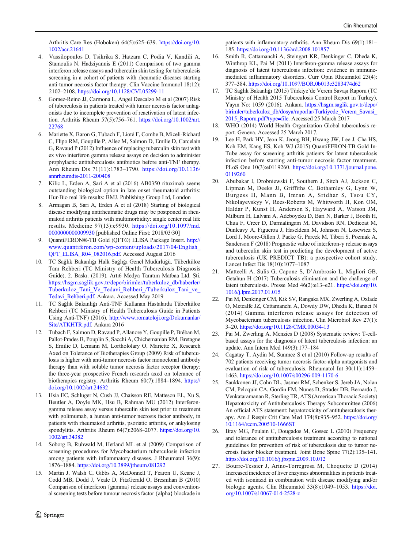<span id="page-7-0"></span>Arthritis Care Res (Hoboken) 64(5):625–639. [https://doi.org/10.](https://doi.org/10.1002/acr.21641) [1002/acr.21641](https://doi.org/10.1002/acr.21641)

- 4. Vassilopoulos D, Tsikrika S, Hatzara C, Podia V, Kandili A, Stamoulis N, Hadziyannis E (2011) Comparison of two gamma interferon release assays and tuberculin skin testing for tuberculosis screening in a cohort of patients with rheumatic diseases starting anti-tumor necrosis factor therapy. Clin Vaccine Immunol 18(12): 2102–2108. <https://doi.org/10.1128/CVI.05299-11>
- 5. Gomez-Reino JJ, Carmona L, Angel Descalzo M et al (2007) Risk of tuberculosis in patients treated with tumor necrosis factor antagonists due to incomplete prevention of reactivation of latent infection. Arthritis Rheum 57(5):756–761. [https://doi.org/10.1002/art.](https://doi.org/10.1002/art.22768) [22768](https://doi.org/10.1002/art.22768)
- 6. Mariette X, Baron G, Tubach F, Lioté F, Combe B, Miceli-Richard C, Flipo RM, Goupille P, Allez M, Salmon D, Emilie D, Carcelain G, Ravaud P (2012) Influence of replacing tuberculin skin test with ex vivo interferon gamma release assays on decision to administer prophylactic antituberculosis antibiotics before anti-TNF therapy. Ann Rheum Dis 71(11):1783–1790. [https://doi.org/10.1136/](https://doi.org/10.1136/annrheumdis-2011-200408) [annrheumdis-2011-200408](https://doi.org/10.1136/annrheumdis-2011-200408)
- 7. Kilic L, Erden A, Sari A et al (2016) AB0350 rituximab seems outstanding biological option in late onset rheumatoid arthritis: Hur-Bio real life results: BMJ. Publishing Group Ltd, London
- 8. Armagan B, Sari A, Erden A et al (2018) Starting of biological disease modifying antirheumatic drugs may be postponed in rheumatoid arthritis patients with multimorbidity: single center real life results. Medicine 97(13):e9930. [https://doi.org/10.1097/md.](https://doi.org/10.1097/md.0000000000009930) [0000000000009930](https://doi.org/10.1097/md.0000000000009930) [published Online First: 2018/03/30]
- 9. QuantiFERON®-TB Gold (QFT®) ELISA Package Insert. [http://](http://www.quantiferon.com/wpontent/uploads/2017/04/English_QFT_ELISA_R04_082016.pdf) [www.quantiferon.com/wp-content/uploads/2017/04/English\\_](http://www.quantiferon.com/wpontent/uploads/2017/04/English_QFT_ELISA_R04_082016.pdf) [QFT\\_ELISA\\_R04\\_082016.pdf](http://www.quantiferon.com/wpontent/uploads/2017/04/English_QFT_ELISA_R04_082016.pdf). Accessed August 2016
- 10. TC Sağlık Bakanlığı Halk Sağlığı Genel Müdürlüğü. Tüberküloz Tanı Rehberi (TC Ministry of Health Tuberculosis Diagnosis Guide), 2. Baskı. (2019). Artı6 Medya Tanıtım Matbaa Ltd. Şti. [https://hsgm.saglik.gov.tr/depo/birimler/tuberkuloz\\_db/haberler/](https://hsgm.saglik.gov.tr/depo/birimler/tuberkuloz_db/haberler/Tuberkuloz_Tani_Ve_Tedavi_Rehberi_/Tuberkuloz_Tani_ve_Tedavi_Rehberi.pdf) Tuberkuloz Tani Ve Tedavi Rehberi /Tuberkuloz Tani ve [Tedavi\\_Rehberi.pdf.](https://hsgm.saglik.gov.tr/depo/birimler/tuberkuloz_db/haberler/Tuberkuloz_Tani_Ve_Tedavi_Rehberi_/Tuberkuloz_Tani_ve_Tedavi_Rehberi.pdf) Ankara. Accessed May 2019
- 11. TC Sağlık Bakanlığı Anti-TNF Kullanan Hastalarda Tüberküloz Rehberi (TC Ministry of Health Tuberculosis Guide in Patients Using Anti-TNF) (2016). [http://www.romatoloji.org/Dokumanlar/](http://www.romatoloji.org/Dokumanlar/Site/ATKHTR.pdf) [Site/ATKHTR.pdf](http://www.romatoloji.org/Dokumanlar/Site/ATKHTR.pdf). Ankara 2016
- 12. Tubach F, Salmon D, Ravaud P, Allanore Y, Goupille P, Bréban M, Pallot-Prades B, Pouplin S, Sacchi A, Chichemanian RM, Bretagne S, Emilie D, Lemann M, Lorthololary O, Mariette X, Research Axed on Tolerance of Biotherapies Group (2009) Risk of tuberculosis is higher with anti-tumor necrosis factor monoclonal antibody therapy than with soluble tumor necrosis factor receptor therapy: the three-year prospective French research axed on tolerance of biotherapies registry. Arthritis Rheum 60(7):1884–1894. [https://](https://doi.org/10.1002/art.24632) [doi.org/10.1002/art.24632](https://doi.org/10.1002/art.24632)
- 13. Hsia EC, Schluger N, Cush JJ, Chaisson RE, Matteson EL, Xu S, Beutler A, Doyle MK, Hsu B, Rahman MU (2012) Interferongamma release assay versus tuberculin skin test prior to treatment with golimumab, a human anti-tumor necrosis factor antibody, in patients with rheumatoid arthritis, psoriatic arthritis, or ankylosing spondylitis. Arthritis Rheum 64(7):2068–2077. [https://doi.org/10.](https://doi.org/10.1002/art.34382) [1002/art.34382](https://doi.org/10.1002/art.34382)
- 14. Soborg B, Ruhwald M, Hetland ML et al (2009) Comparison of screening procedures for Mycobacterium tuberculosis infection among patients with inflammatory diseases. J Rheumatol 36(9): 1876–1884. <https://doi.org/10.3899/jrheum.081292>
- 15. Martin J, Walsh C, Gibbs A, McDonnell T, Fearon U, Keane J, Codd MB, Dodd J, Veale D, FitzGerald O, Bresnihan B (2010) Comparison of interferon {gamma} release assays and conventional screening tests before tumour necrosis factor {alpha} blockade in

patients with inflammatory arthritis. Ann Rheum Dis 69(1):181– 185. <https://doi.org/10.1136/ard.2008.101857>

- 16. Smith R, Cattamanchi A, Steingart KR, Denkinger C, Dheda K, Winthrop KL, Pai M (2011) Interferon-gamma release assays for diagnosis of latent tuberculosis infection: evidence in immunemediated inflammatory disorders. Curr Opin Rheumatol 23(4): 377–384. <https://doi.org/10.1097/BOR.0b013e3283474d62>
- 17. TC Sağlık Bakanlığı (2015) Türkiye'de Verem Savaşı Raporu (TC Ministry of Health 2015 Tuberculosis Control Report in Turkey), Yayın No: 1059 (2016). Ankara. [https://hsgm.saglik.gov.tr/depo/](https://hsgm.saglik.gov.tr/depo/birimler/tuberkuloz_db/dosya/raporlar/Turkiyede_Verem_Savasi_2015_Raporu.pdf?typeile) birimler/tuberkuloz\_db/dosya/raporlar/Turkiyede\_Verem\_Savasi 2015 Raporu.pdf?type=file. Accessed 25 March 2017
- 18. WHO (2014) World Health Organization Global tuberculosis report. Geneva. Accessed 25 March 2017.
- 19. Lee H, Park HY, Jeon K, Jeong BH, Hwang JW, Lee J, Cha HS, Koh EM, Kang ES, Koh WJ (2015) QuantiFERON-TB Gold In-Tube assay for screening arthritis patients for latent tuberculosis infection before starting anti-tumor necrosis factor treatment. PLoS One 10(3):e0119260. [https://doi.org/10.1371/journal.pone.](https://doi.org/10.1371/journal.pone.0119260) [0119260](https://doi.org/10.1371/journal.pone.0119260)
- 20. Abubakar I, Drobniewski F, Southern J, Sitch AJ, Jackson C, Lipman M, Deeks JJ, Griffiths C, Bothamley G, Lynn W, Burgess H, Mann B, Imran A, Sridhar S, Tsou CY, Nikolayevskyy V, Rees-Roberts M, Whitworth H, Kon OM, Haldar P, Kunst H, Anderson S, Hayward A, Watson JM, Milburn H, Lalvani A, Adeboyeku D, Bari N, Barker J, Booth H, Chua F, Creer D, Darmalingam M, Davidson RN, Dedicoat M, Dunleavy A, Figueroa J, Haseldean M, Johnson N, Losewicz S, Lord J, Moore-Gillon J, Packe G, Pareek M, Tiberi S, Pozniak A, Sanderson F (2018) Prognostic value of interferon-γ release assays and tuberculin skin test in predicting the development of active tuberculosis (UK PREDICT TB): a prospective cohort study. Lancet Infect Dis 18(10):1077–1087
- 21. Matteelli A, Sulis G, Capone S, D'Ambrosio L, Migliori GB, Getahun H (2017) Tuberculosis elimination and the challenge of latent tuberculosis. Presse Med 46(2):e13–e21. [https://doi.org/10.](https://doi.org/10.1016/j.lpm.2017.01.015) [1016/j.lpm.2017.01.015](https://doi.org/10.1016/j.lpm.2017.01.015)
- 22. Pai M, Denkinger CM, Kik SV, Rangaka MX, Zwerling A, Oxlade O, Metcalfe JZ, Cattamanchi A, Dowdy DW, Dheda K, Banaei N (2014) Gamma interferon release assays for detection of Mycobacterium tuberculosis infection. Clin Microbiol Rev 27(1): 3–20. <https://doi.org/10.1128/CMR.00034-13>
- 23. Pai M, Zwerling A, Menzies D (2008) Systematic review: T-cellbased assays for the diagnosis of latent tuberculosis infection: an update. Ann Intern Med 149(3):177–184
- 24. Cagatay T, Aydin M, Sunmez S et al (2010) Follow-up results of 702 patients receiving tumor necrosis factor-alpha antagonists and evaluation of risk of tuberculosis. Rheumatol Int 30(11):1459– 1463. <https://doi.org/10.1007/s00296-009-1170-6>
- 25. Saukkonen JJ, Cohn DL, Jasmer RM, Schenker S, Jereb JA, Nolan CM, Peloquin CA, Gordin FM, Nunes D, Strader DB, Bernardo J, Venkataramanan R, Sterling TR, ATS (American Thoracic Society) Hepatotoxicity of Antituberculosis Therapy Subcommittee (2006) An official ATS statement: hepatotoxicity of antituberculosis therapy. Am J Respir Crit Care Med 174(8):935–952. [https://doi.org/](https://doi.org/10.1164/rccm.200510-1666ST) [10.1164/rccm.200510-1666ST](https://doi.org/10.1164/rccm.200510-1666ST)
- 26. Bray MG, Poulain C, Dougados M, Gossec L (2010) Frequency and tolerance of antituberculosis treatment according to national guidelines for prevention of risk of tuberculosis due to tumor necrosis factor blocker treatment. Joint Bone Spine 77(2):135–141. <https://doi.org/10.1016/j.jbspin.2009.10.012>
- 27. Bourre-Tessier J, Arino-Torregrosa M, Choquette D (2014) Increased incidence of liver enzymes abnormalities in patients treated with isoniazid in combination with disease modifying and/or biologic agents. Clin Rheumatol 33(8):1049–1053. [https://doi.](https://doi.org/10.1007/s10067-014-2528-z) [org/10.1007/s10067-014-2528-z](https://doi.org/10.1007/s10067-014-2528-z)